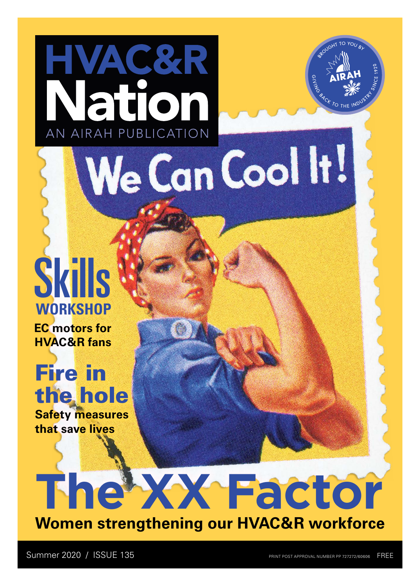## Skills **WORKSHOP**

HVAC&R

Nation

AN AIRAH PUBLICATION

**EC motors for HVAC&R fans**

**Safety measures**  Fire in the hole

**that save lives**



We Can Cool It!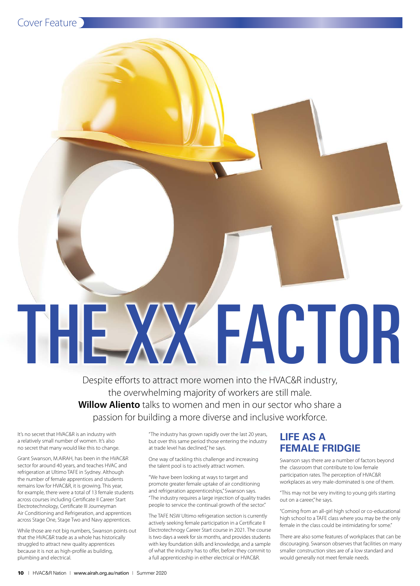

# THE XX FACTOR

Despite efforts to attract more women into the HVAC&R industry, the overwhelming majority of workers are still male. **Willow Aliento** talks to women and men in our sector who share a passion for building a more diverse and inclusive workforce.

It's no secret that HVAC&R is an industry with a relatively small number of women. It's also no secret that many would like this to change.

Grant Swanson, M.AIRAH, has been in the HVAC&R sector for around 40 years, and teaches HVAC and refrigeration at Ultimo TAFE in Sydney. Although the number of female apprentices and students remains low for HVAC&R, it is growing. This year, for example, there were a total of 13 female students across courses including Certificate II Career Start Electrotechnology, Certificate III Journeyman Air Conditioning and Refrigeration, and apprentices across Stage One, Stage Two and Navy apprentices.

While those are not big numbers, Swanson points out that the HVAC&R trade as a whole has historically struggled to attract new quality apprentices because it is not as high-profile as building, plumbing and electrical.

"The industry has grown rapidly over the last 20 years, but over this same period those entering the industry at trade level has declined," he says.

One way of tackling this challenge and increasing the talent pool is to actively attract women.

"We have been looking at ways to target and promote greater female uptake of air conditioning and refrigeration apprenticeships," Swanson says. "The industry requires a large injection of quality trades people to service the continual growth of the sector."

The TAFE NSW Ultimo refrigeration section is currently actively seeking female participation in a Certificate II Electrotechnogy Career Start course in 2021. The course is two days a week for six months, and provides students with key foundation skills and knowledge, and a sample of what the industry has to offer, before they commit to a full apprenticeship in either electrical or HVAC&R.

#### **LIFE AS A FEMALE FRIDGIE**

Swanson says there are a number of factors beyond the classroom that contribute to low female participation rates. The perception of HVAC&R workplaces as very male-dominated is one of them.

"This may not be very inviting to young girls starting out on a career," he says.

"Coming from an all-girl high school or co-educational high school to a TAFE class where you may be the only female in the class could be intimidating for some."

There are also some features of workplaces that can be discouraging. Swanson observes that facilities on many smaller construction sites are of a low standard and would generally not meet female needs.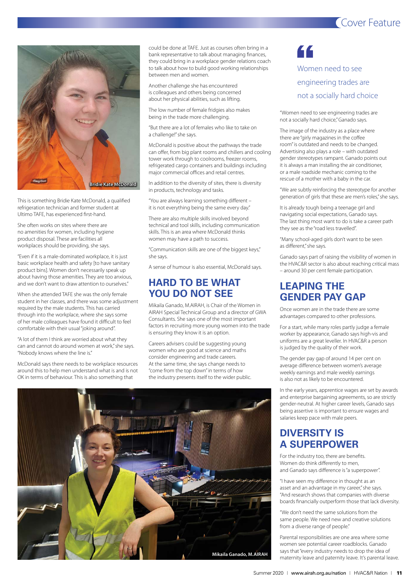#### Cover Feature



This is something Bridie Kate McDonald, a qualified refrigeration technician and former student at Ultimo TAFE, has experienced first-hand.

She often works on sites where there are no amenities for women, including hygiene product disposal. These are facilities all workplaces should be providing, she says.

"Even if it is a male-dominated workplace, it is just basic workplace health and safety [to have sanitary product bins]. Women don't necessarily speak up about having those amenities. They are too anxious, and we don't want to draw attention to ourselves."

When she attended TAFE she was the only female student in her classes, and there was some adjustment required by the male students. This has carried through into the workplace, where she says some of her male colleagues have found it difficult to feel comfortable with their usual "joking around".

"A lot of them I think are worried about what they can and cannot do around women at work," she says. "Nobody knows where the line is."

McDonald says there needs to be workplace resources around this to help men understand what is and is not OK in terms of behaviour. This is also something that

could be done at TAFE. Just as courses often bring in a bank representative to talk about managing finances, they could bring in a workplace gender relations coach to talk about how to build good working relationships between men and women.

Another challenge she has encountered is colleagues and others being concerned about her physical abilities, such as lifting.

The low number of female fridgies also makes being in the trade more challenging.

"But there are a lot of females who like to take on a challenge!" she says.

McDonald is positive about the pathways the trade can offer, from big plant rooms and chillers and cooling tower work through to coolrooms, freezer rooms, refrigerated cargo containers and buildings including major commercial offices and retail centres.

In addition to the diversity of sites, there is diversity in products, technology and tasks.

"You are always learning something different – it is not everything being the same every day."

There are also multiple skills involved beyond technical and tool skills, including communication skills. This is an area where McDonald thinks women may have a path to success.

"Communication skills are one of the biggest keys," she says.

A sense of humour is also essential, McDonald says.

#### **HARD TO BE WHAT YOU DO NOT SEE**

Mikaila Ganado, M.AIRAH, is Chair of the Women in AIRAH Special Technical Group and a director of GWA Consultants. She says one of the most important factors in recruiting more young women into the trade is ensuring they know it is an option.

Careers advisers could be suggesting young women who are good at science and maths consider engineering and trade careers. At the same time, she says change needs to "come from the top down" in terms of how the industry presents itself to the wider public.



#### "

Women need to see engineering trades are not a socially hard choice

"Women need to see engineering trades are not a socially hard choice," Ganado says.

The image of the industry as a place where there are "girly magazines in the coffee room" is outdated and needs to be changed. Advertising also plays a role – with outdated gender stereotypes rampant. Ganado points out it is always a man installing the air conditioner, or a male roadside mechanic coming to the rescue of a mother with a baby in the car.

"We are subtly reinforcing the stereotype for another generation of girls that these are men's roles," she says.

It is already tough being a teenage girl and navigating social expectations, Ganado says. The last thing most want to do is take a career path they see as the "road less travelled".

"Many school-aged girls don't want to be seen as different," she says.

Ganado says part of raising the visibility of women in the HVAC&R sector is also about reaching critical mass – around 30 per cent female participation.

#### **LEAPING THE GENDER PAY GAP**

Once women are in the trade there are some advantages compared to other professions.

For a start, while many roles partly judge a female worker by appearance, Ganado says high-vis and uniforms are a great leveller. In HVAC&R a person is judged by the quality of their work.

The gender pay gap of around 14 per cent on average difference between women's average weekly earnings and male weekly earnings is also not as likely to be encountered.

In the early years, apprentice wages are set by awards and enterprise bargaining agreements, so are strictly gender-neutral. At higher career levels, Ganado says being assertive is important to ensure wages and salaries keep pace with male peers.

#### **DIVERSITY IS A SUPERPOWER**

For the industry too, there are benefits. Women do think differently to men, and Ganado says difference is "a superpower".

"I have seen my difference in thought as an asset and an advantage in my career," she says. "And research shows that companies with diverse boards financially outperform those that lack diversity.

"We don't need the same solutions from the same people. We need new and creative solutions from a diverse range of people."

Parental responsibilities are one area where some women see potential career roadblocks. Ganado says that "every industry needs to drop the idea of maternity leave and paternity leave. It's parental leave.